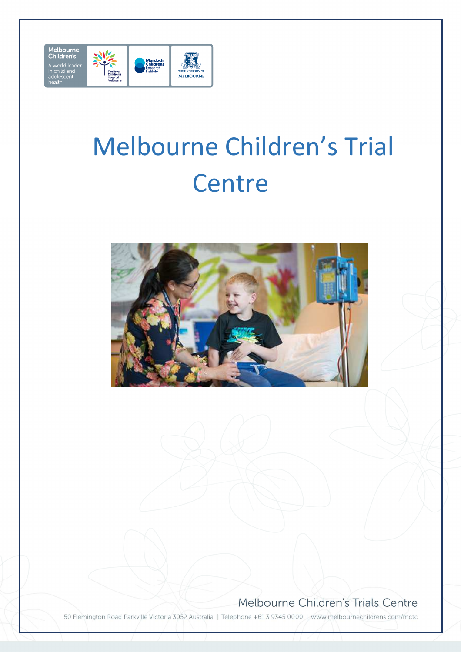

# Melbourne Children's Trial **Centre**



#### Melbourne Children's Trials Centre

50 Flemington Road Parkville Victoria 3052 Australia | Telephone +61 3 9345 0000 | www.melbournechildrens.com/mctc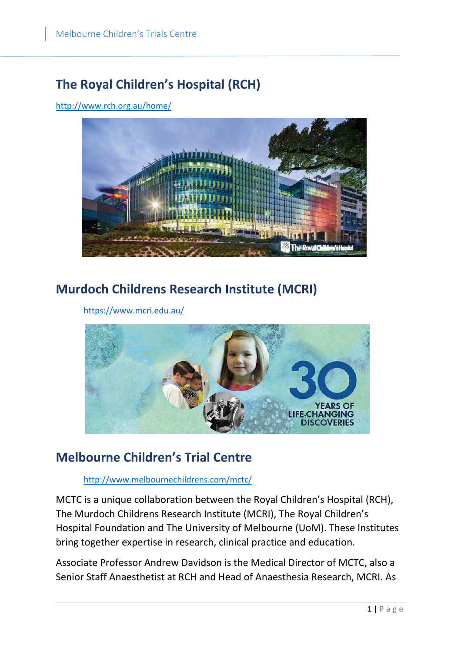# **The Royal Children's Hospital (RCH)**

http://www.rch.org.au/home/



# **Murdoch Childrens Research Institute (MCRI)**

https://www.mcri.edu.au/



#### **Melbourne Children's Trial Centre**

http://www.melbournechildrens.com/mctc/

MCTC is a unique collaboration between the Royal Children's Hospital (RCH), The Murdoch Childrens Research Institute (MCRI), The Royal Children's Hospital Foundation and The University of Melbourne (UoM). These Institutes bring together expertise in research, clinical practice and education.

Associate Professor Andrew Davidson is the Medical Director of MCTC, also a Senior Staff Anaesthetist at RCH and Head of Anaesthesia Research, MCRI. As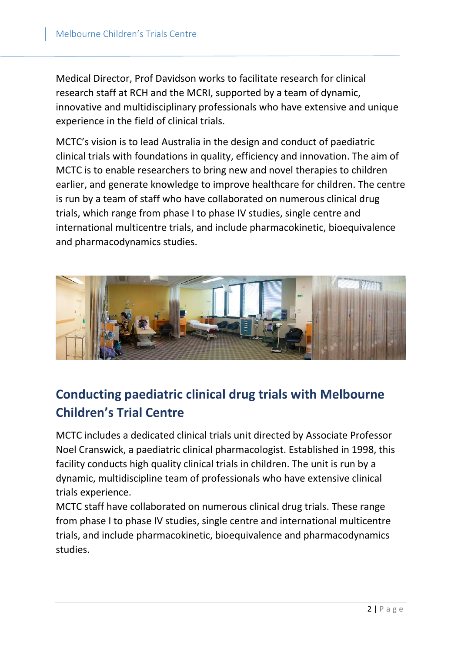Medical Director, Prof Davidson works to facilitate research for clinical research staff at RCH and the MCRI, supported by a team of dynamic, innovative and multidisciplinary professionals who have extensive and unique experience in the field of clinical trials.

MCTC's vision is to lead Australia in the design and conduct of paediatric clinical trials with foundations in quality, efficiency and innovation. The aim of MCTC is to enable researchers to bring new and novel therapies to children earlier, and generate knowledge to improve healthcare for children. The centre is run by a team of staff who have collaborated on numerous clinical drug trials, which range from phase I to phase IV studies, single centre and international multicentre trials, and include pharmacokinetic, bioequivalence and pharmacodynamics studies.



# **Conducting paediatric clinical drug trials with Melbourne Children's Trial Centre**

MCTC includes a dedicated clinical trials unit directed by Associate Professor Noel Cranswick, a paediatric clinical pharmacologist. Established in 1998, this facility conducts high quality clinical trials in children. The unit is run by a dynamic, multidiscipline team of professionals who have extensive clinical trials experience.

MCTC staff have collaborated on numerous clinical drug trials. These range from phase I to phase IV studies, single centre and international multicentre trials, and include pharmacokinetic, bioequivalence and pharmacodynamics studies.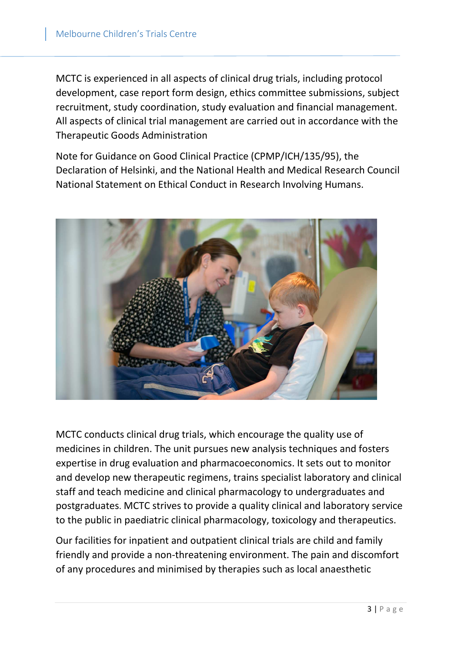MCTC is experienced in all aspects of clinical drug trials, including protocol development, case report form design, ethics committee submissions, subject recruitment, study coordination, study evaluation and financial management. All aspects of clinical trial management are carried out in accordance with the Therapeutic Goods Administration

Note for Guidance on Good Clinical Practice (CPMP/ICH/135/95), the Declaration of Helsinki, and the National Health and Medical Research Council National Statement on Ethical Conduct in Research Involving Humans.



MCTC conducts clinical drug trials, which encourage the quality use of medicines in children. The unit pursues new analysis techniques and fosters expertise in drug evaluation and pharmacoeconomics. It sets out to monitor and develop new therapeutic regimens, trains specialist laboratory and clinical staff and teach medicine and clinical pharmacology to undergraduates and postgraduates. MCTC strives to provide a quality clinical and laboratory service to the public in paediatric clinical pharmacology, toxicology and therapeutics.

Our facilities for inpatient and outpatient clinical trials are child and family friendly and provide a non-threatening environment. The pain and discomfort of any procedures and minimised by therapies such as local anaesthetic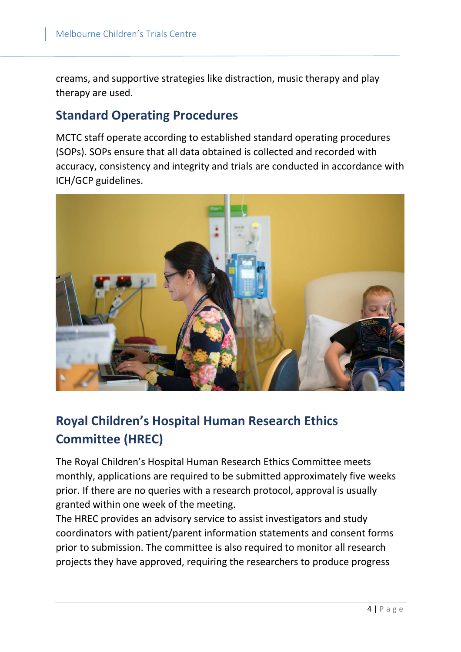creams, and supportive strategies like distraction, music therapy and play therapy are used.

#### **Standard Operating Procedures**

MCTC staff operate according to established standard operating procedures (SOPs). SOPs ensure that all data obtained is collected and recorded with accuracy, consistency and integrity and trials are conducted in accordance with ICH/GCP guidelines.



# **Royal Children's Hospital Human Research Ethics Committee (HREC)**

The Royal Children's Hospital Human Research Ethics Committee meets monthly, applications are required to be submitted approximately five weeks prior. If there are no queries with a research protocol, approval is usually granted within one week of the meeting.

The HREC provides an advisory service to assist investigators and study coordinators with patient/parent information statements and consent forms prior to submission. The committee is also required to monitor all research projects they have approved, requiring the researchers to produce progress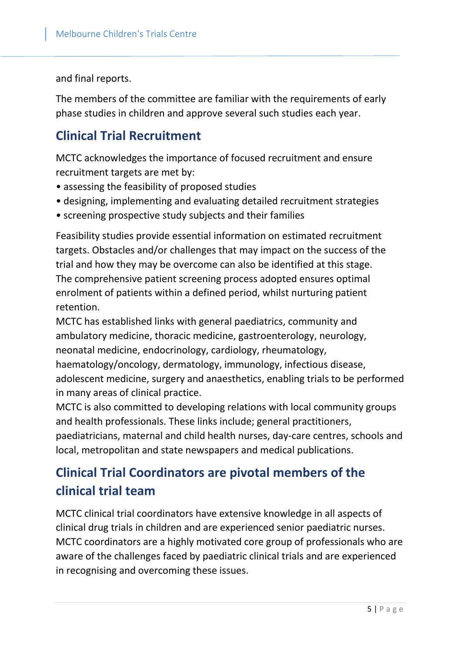and final reports.

The members of the committee are familiar with the requirements of early phase studies in children and approve several such studies each year.

#### **Clinical Trial Recruitment**

MCTC acknowledges the importance of focused recruitment and ensure recruitment targets are met by:

- assessing the feasibility of proposed studies
- designing, implementing and evaluating detailed recruitment strategies
- screening prospective study subjects and their families

Feasibility studies provide essential information on estimated recruitment targets. Obstacles and/or challenges that may impact on the success of the trial and how they may be overcome can also be identified at this stage. The comprehensive patient screening process adopted ensures optimal enrolment of patients within a defined period, whilst nurturing patient retention.

MCTC has established links with general paediatrics, community and ambulatory medicine, thoracic medicine, gastroenterology, neurology, neonatal medicine, endocrinology, cardiology, rheumatology,

haematology/oncology, dermatology, immunology, infectious disease, adolescent medicine, surgery and anaesthetics, enabling trials to be performed in many areas of clinical practice.

MCTC is also committed to developing relations with local community groups and health professionals. These links include; general practitioners, paediatricians, maternal and child health nurses, day-care centres, schools and local, metropolitan and state newspapers and medical publications.

# **Clinical Trial Coordinators are pivotal members of the clinical trial team**

MCTC clinical trial coordinators have extensive knowledge in all aspects of clinical drug trials in children and are experienced senior paediatric nurses. MCTC coordinators are a highly motivated core group of professionals who are aware of the challenges faced by paediatric clinical trials and are experienced in recognising and overcoming these issues.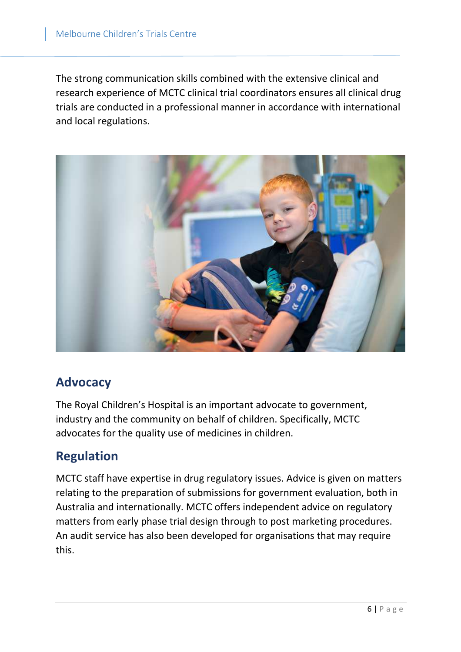The strong communication skills combined with the extensive clinical and research experience of MCTC clinical trial coordinators ensures all clinical drug trials are conducted in a professional manner in accordance with international and local regulations.



#### **Advocacy**

The Royal Children's Hospital is an important advocate to government, industry and the community on behalf of children. Specifically, MCTC advocates for the quality use of medicines in children.

#### **Regulation**

MCTC staff have expertise in drug regulatory issues. Advice is given on matters relating to the preparation of submissions for government evaluation, both in Australia and internationally. MCTC offers independent advice on regulatory matters from early phase trial design through to post marketing procedures. An audit service has also been developed for organisations that may require this.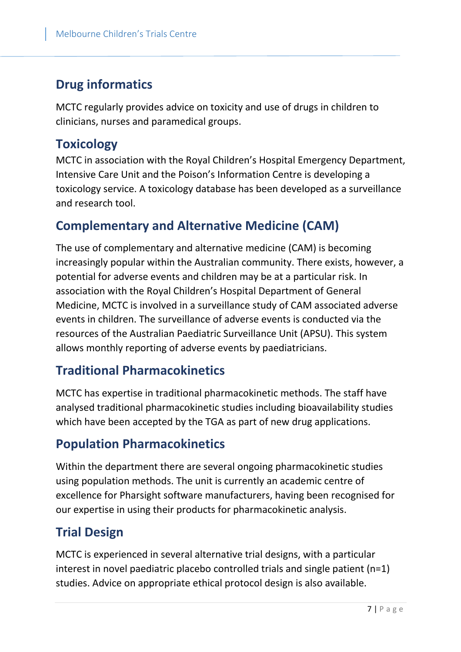# **Drug informatics**

MCTC regularly provides advice on toxicity and use of drugs in children to clinicians, nurses and paramedical groups.

#### **Toxicology**

MCTC in association with the Royal Children's Hospital Emergency Department, Intensive Care Unit and the Poison's Information Centre is developing a toxicology service. A toxicology database has been developed as a surveillance and research tool.

### **Complementary and Alternative Medicine (CAM)**

The use of complementary and alternative medicine (CAM) is becoming increasingly popular within the Australian community. There exists, however, a potential for adverse events and children may be at a particular risk. In association with the Royal Children's Hospital Department of General Medicine, MCTC is involved in a surveillance study of CAM associated adverse events in children. The surveillance of adverse events is conducted via the resources of the Australian Paediatric Surveillance Unit (APSU). This system allows monthly reporting of adverse events by paediatricians.

# **Traditional Pharmacokinetics**

MCTC has expertise in traditional pharmacokinetic methods. The staff have analysed traditional pharmacokinetic studies including bioavailability studies which have been accepted by the TGA as part of new drug applications.

# **Population Pharmacokinetics**

Within the department there are several ongoing pharmacokinetic studies using population methods. The unit is currently an academic centre of excellence for Pharsight software manufacturers, having been recognised for our expertise in using their products for pharmacokinetic analysis.

# **Trial Design**

MCTC is experienced in several alternative trial designs, with a particular interest in novel paediatric placebo controlled trials and single patient (n=1) studies. Advice on appropriate ethical protocol design is also available.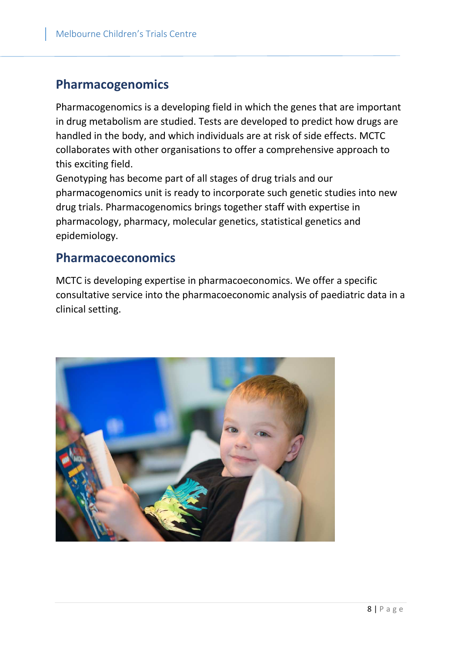#### **Pharmacogenomics**

Pharmacogenomics is a developing field in which the genes that are important in drug metabolism are studied. Tests are developed to predict how drugs are handled in the body, and which individuals are at risk of side effects. MCTC collaborates with other organisations to offer a comprehensive approach to this exciting field.

Genotyping has become part of all stages of drug trials and our pharmacogenomics unit is ready to incorporate such genetic studies into new drug trials. Pharmacogenomics brings together staff with expertise in pharmacology, pharmacy, molecular genetics, statistical genetics and epidemiology.

#### **Pharmacoeconomics**

MCTC is developing expertise in pharmacoeconomics. We offer a specific consultative service into the pharmacoeconomic analysis of paediatric data in a clinical setting.

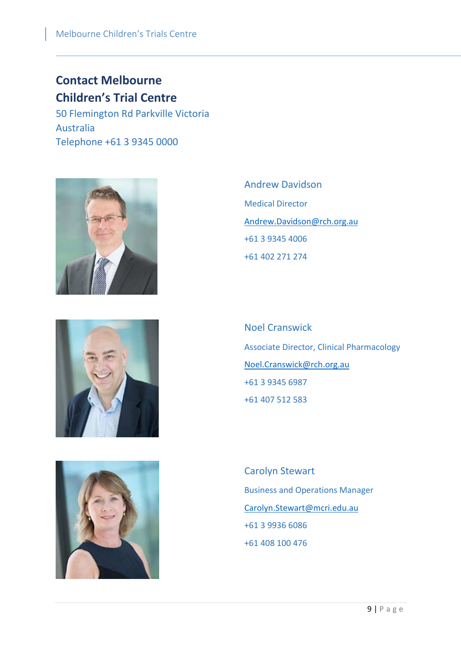# **Contact Melbourne Children's Trial Centre**

50 Flemington Rd Parkville Victoria Australia Telephone +61 3 9345 0000





Andrew Davidson Medical Director Andrew.Davidson@rch.org.au +61 3 9345 4006 +61 402 271 274

Noel Cranswick Associate Director, Clinical Pharmacology Noel.Cranswick@rch.org.au +61 3 9345 6987 +61 407 512 583

Carolyn Stewart Business and Operations Manager Carolyn.Stewart@mcri.edu.au +61 3 9936 6086 +61 408 100 476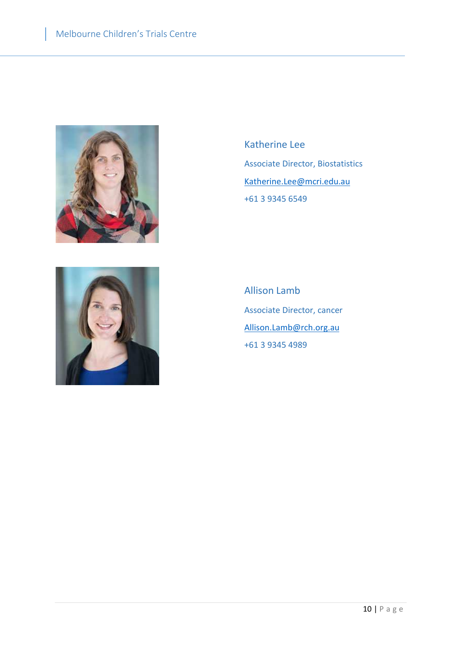



Katherine Lee Associate Director, Biostatistics Katherine.Lee@mcri.edu.au +61 3 9345 6549

Allison Lamb Associate Director, cancer Allison.Lamb@rch.org.au +61 3 9345 4989